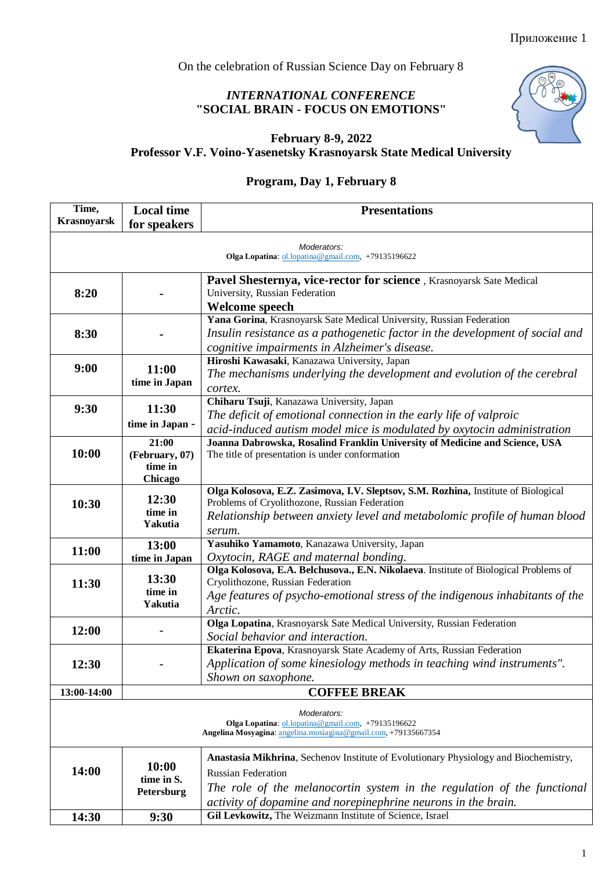On the celebration of Russian Science Day on February 8

## *INTERNATIONAL CONFERENCE*  **"SOCIAL BRAIN - FOCUS ON EMOTIONS"**



#### **February 8-9, 2022**

**Professor V.F. Voino-Yasenetsky Krasnoyarsk State Medical University**

## **Program, Day 1, February 8**

| Time,                                                                                                                | <b>Local time</b>                  | <b>Presentations</b>                                                                 |  |  |  |  |
|----------------------------------------------------------------------------------------------------------------------|------------------------------------|--------------------------------------------------------------------------------------|--|--|--|--|
| <b>Krasnoyarsk</b>                                                                                                   | for speakers                       |                                                                                      |  |  |  |  |
|                                                                                                                      |                                    |                                                                                      |  |  |  |  |
| Moderators:<br>Olga Lopatina: ol.lopatina@gmail.com, +79135196622                                                    |                                    |                                                                                      |  |  |  |  |
|                                                                                                                      |                                    | Pavel Shesternya, vice-rector for science, Krasnoyarsk Sate Medical                  |  |  |  |  |
| 8:20                                                                                                                 |                                    | University, Russian Federation                                                       |  |  |  |  |
|                                                                                                                      |                                    | Welcome speech                                                                       |  |  |  |  |
|                                                                                                                      |                                    | Yana Gorina, Krasnoyarsk Sate Medical University, Russian Federation                 |  |  |  |  |
| 8:30                                                                                                                 |                                    | Insulin resistance as a pathogenetic factor in the development of social and         |  |  |  |  |
|                                                                                                                      |                                    | cognitive impairments in Alzheimer's disease.                                        |  |  |  |  |
| 9:00                                                                                                                 | 11:00<br>time in Japan             | Hiroshi Kawasaki, Kanazawa University, Japan                                         |  |  |  |  |
|                                                                                                                      |                                    | The mechanisms underlying the development and evolution of the cerebral              |  |  |  |  |
|                                                                                                                      |                                    | cortex.                                                                              |  |  |  |  |
| 9:30                                                                                                                 | 11:30                              | Chiharu Tsuji, Kanazawa University, Japan                                            |  |  |  |  |
|                                                                                                                      | time in Japan -                    | The deficit of emotional connection in the early life of valproic                    |  |  |  |  |
|                                                                                                                      |                                    | acid-induced autism model mice is modulated by oxytocin administration               |  |  |  |  |
|                                                                                                                      | 21:00                              | Joanna Dabrowska, Rosalind Franklin University of Medicine and Science, USA          |  |  |  |  |
| 10:00                                                                                                                | (February, 07)<br>time in          | The title of presentation is under conformation                                      |  |  |  |  |
|                                                                                                                      | Chicago                            |                                                                                      |  |  |  |  |
|                                                                                                                      | 12:30<br>time in                   | Olga Kolosova, E.Z. Zasimova, I.V. Sleptsov, S.M. Rozhina, Institute of Biological   |  |  |  |  |
| 10:30                                                                                                                |                                    | Problems of Cryolithozone, Russian Federation                                        |  |  |  |  |
|                                                                                                                      |                                    | Relationship between anxiety level and metabolomic profile of human blood            |  |  |  |  |
|                                                                                                                      | <b>Yakutia</b>                     | serum.                                                                               |  |  |  |  |
| 11:00                                                                                                                | 13:00                              | Yasuhiko Yamamoto, Kanazawa University, Japan                                        |  |  |  |  |
|                                                                                                                      | time in Japan                      | Oxytocin, RAGE and maternal bonding.                                                 |  |  |  |  |
|                                                                                                                      | 13:30<br>time in<br><b>Yakutia</b> | Olga Kolosova, E.A. Belchusova., E.N. Nikolaeva. Institute of Biological Problems of |  |  |  |  |
| 11:30                                                                                                                |                                    | Cryolithozone, Russian Federation                                                    |  |  |  |  |
|                                                                                                                      |                                    | Age features of psycho-emotional stress of the indigenous inhabitants of the         |  |  |  |  |
|                                                                                                                      |                                    | Arctic.                                                                              |  |  |  |  |
| 12:00                                                                                                                |                                    | Olga Lopatina, Krasnoyarsk Sate Medical University, Russian Federation               |  |  |  |  |
|                                                                                                                      |                                    | Social behavior and interaction.                                                     |  |  |  |  |
| 12:30                                                                                                                |                                    | Ekaterina Epova, Krasnoyarsk State Academy of Arts, Russian Federation               |  |  |  |  |
|                                                                                                                      |                                    | Application of some kinesiology methods in teaching wind instruments".               |  |  |  |  |
|                                                                                                                      |                                    | Shown on saxophone.                                                                  |  |  |  |  |
| 13:00-14:00                                                                                                          |                                    | <b>COFFEE BREAK</b>                                                                  |  |  |  |  |
|                                                                                                                      |                                    | Moderators:                                                                          |  |  |  |  |
| Olga Lopatina: ol.lopatina@gmail.com, +79135196622<br>Angelina Mosvagina: angelina.mosiagina@gmail.com, +79135667354 |                                    |                                                                                      |  |  |  |  |
| 14:00                                                                                                                | 10:00<br>time in S.<br>Petersburg  | Anastasia Mikhrina, Sechenov Institute of Evolutionary Physiology and Biochemistry,  |  |  |  |  |
|                                                                                                                      |                                    | <b>Russian Federation</b>                                                            |  |  |  |  |
|                                                                                                                      |                                    | The role of the melanocortin system in the regulation of the functional              |  |  |  |  |
|                                                                                                                      |                                    | activity of dopamine and norepinephrine neurons in the brain.                        |  |  |  |  |
|                                                                                                                      |                                    | Gil Levkowitz, The Weizmann Institute of Science, Israel                             |  |  |  |  |
| 14:30                                                                                                                | 9:30                               |                                                                                      |  |  |  |  |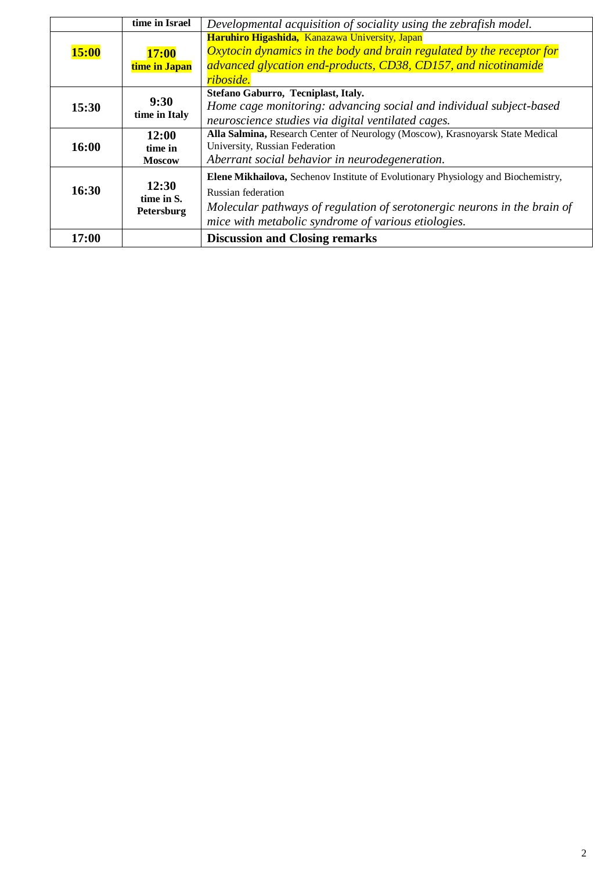|              | time in Israel    | Developmental acquisition of sociality using the zebrafish model.                 |
|--------------|-------------------|-----------------------------------------------------------------------------------|
|              |                   | Haruhiro Higashida, Kanazawa University, Japan                                    |
| <b>15:00</b> | 17:00             | <i>Oxytocin dynamics in the body and brain regulated by the receptor for</i>      |
|              | time in Japan     | advanced glycation end-products, CD38, CD157, and nicotinamide                    |
|              |                   | riboside.                                                                         |
|              |                   | Stefano Gaburro, Tecniplast, Italy.                                               |
| 15:30        | 9:30              | Home cage monitoring: advancing social and individual subject-based               |
|              | time in Italy     | neuroscience studies via digital ventilated cages.                                |
|              | 12:00             | Alla Salmina, Research Center of Neurology (Moscow), Krasnoyarsk State Medical    |
| 16:00        | time in           | University, Russian Federation                                                    |
|              | <b>Moscow</b>     | Aberrant social behavior in neurodegeneration.                                    |
|              |                   | Elene Mikhailova, Sechenov Institute of Evolutionary Physiology and Biochemistry, |
| 16:30        | 12:30             | <b>Russian federation</b>                                                         |
|              | time in S.        | Molecular pathways of regulation of serotonergic neurons in the brain of          |
|              | <b>Petersburg</b> | mice with metabolic syndrome of various etiologies.                               |
| 17:00        |                   | <b>Discussion and Closing remarks</b>                                             |
|              |                   |                                                                                   |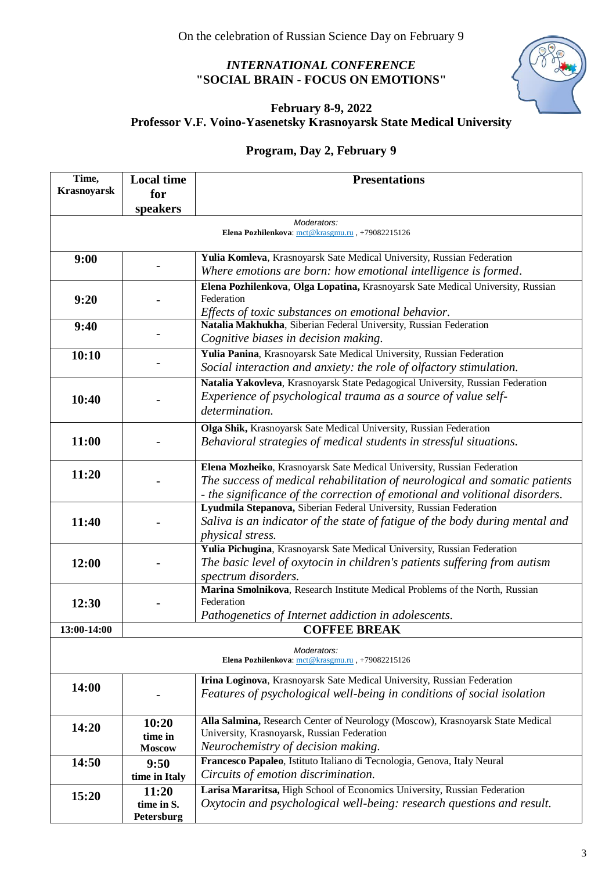### *INTERNATIONAL CONFERENCE*  **"SOCIAL BRAIN - FOCUS ON EMOTIONS"**



## **February 8-9, 2022 Professor V.F. Voino-Yasenetsky Krasnoyarsk State Medical University**

# **Program, Day 2, February 9**

| Time,<br><b>Krasnoyarsk</b>                                     | <b>Local time</b>        | <b>Presentations</b>                                                                                                                               |  |  |
|-----------------------------------------------------------------|--------------------------|----------------------------------------------------------------------------------------------------------------------------------------------------|--|--|
|                                                                 | for<br>speakers          |                                                                                                                                                    |  |  |
|                                                                 |                          | Moderators:                                                                                                                                        |  |  |
| Elena Pozhilenkova: mct@krasgmu.ru, +79082215126                |                          |                                                                                                                                                    |  |  |
| 9:00                                                            |                          | Yulia Komleva, Krasnoyarsk Sate Medical University, Russian Federation                                                                             |  |  |
|                                                                 |                          | Where emotions are born: how emotional intelligence is formed.                                                                                     |  |  |
|                                                                 |                          | Elena Pozhilenkova, Olga Lopatina, Krasnoyarsk Sate Medical University, Russian                                                                    |  |  |
| 9:20                                                            |                          | Federation                                                                                                                                         |  |  |
|                                                                 |                          | Effects of toxic substances on emotional behavior.                                                                                                 |  |  |
| 9:40                                                            |                          | Natalia Makhukha, Siberian Federal University, Russian Federation                                                                                  |  |  |
|                                                                 |                          | Cognitive biases in decision making.                                                                                                               |  |  |
| 10:10                                                           |                          | Yulia Panina, Krasnoyarsk Sate Medical University, Russian Federation                                                                              |  |  |
|                                                                 |                          | Social interaction and anxiety: the role of olfactory stimulation.                                                                                 |  |  |
|                                                                 |                          | Natalia Yakovleva, Krasnoyarsk State Pedagogical University, Russian Federation                                                                    |  |  |
| 10:40                                                           |                          | Experience of psychological trauma as a source of value self-                                                                                      |  |  |
|                                                                 |                          | determination.                                                                                                                                     |  |  |
|                                                                 |                          | Olga Shik, Krasnoyarsk Sate Medical University, Russian Federation                                                                                 |  |  |
| 11:00                                                           |                          | Behavioral strategies of medical students in stressful situations.                                                                                 |  |  |
|                                                                 |                          | Elena Mozheiko, Krasnoyarsk Sate Medical University, Russian Federation                                                                            |  |  |
| 11:20                                                           |                          | The success of medical rehabilitation of neurological and somatic patients                                                                         |  |  |
|                                                                 |                          | - the significance of the correction of emotional and volitional disorders.                                                                        |  |  |
|                                                                 |                          | Lyudmila Stepanova, Siberian Federal University, Russian Federation                                                                                |  |  |
| 11:40                                                           |                          | Saliva is an indicator of the state of fatigue of the body during mental and                                                                       |  |  |
|                                                                 |                          | <i>physical stress.</i>                                                                                                                            |  |  |
|                                                                 |                          | Yulia Pichugina, Krasnoyarsk Sate Medical University, Russian Federation                                                                           |  |  |
| 12:00                                                           |                          | The basic level of oxytocin in children's patients suffering from autism                                                                           |  |  |
|                                                                 |                          | spectrum disorders.                                                                                                                                |  |  |
|                                                                 |                          | Marina Smolnikova, Research Institute Medical Problems of the North, Russian                                                                       |  |  |
| 12:30                                                           |                          | Federation                                                                                                                                         |  |  |
| 13:00-14:00                                                     |                          | Pathogenetics of Internet addiction in adolescents.<br><b>COFFEE BREAK</b>                                                                         |  |  |
|                                                                 |                          |                                                                                                                                                    |  |  |
| Moderators:<br>Elena Pozhilenkova: mct@krasgmu.ru, +79082215126 |                          |                                                                                                                                                    |  |  |
| 14:00                                                           |                          | Irina Loginova, Krasnoyarsk Sate Medical University, Russian Federation                                                                            |  |  |
|                                                                 |                          | Features of psychological well-being in conditions of social isolation                                                                             |  |  |
|                                                                 |                          |                                                                                                                                                    |  |  |
| 14:20                                                           | 10:20                    | Alla Salmina, Research Center of Neurology (Moscow), Krasnoyarsk State Medical                                                                     |  |  |
|                                                                 | time in                  | University, Krasnoyarsk, Russian Federation                                                                                                        |  |  |
|                                                                 | <b>Moscow</b>            | Neurochemistry of decision making.                                                                                                                 |  |  |
| 14:50                                                           | 9:50                     | Francesco Papaleo, Istituto Italiano di Tecnologia, Genova, Italy Neural                                                                           |  |  |
|                                                                 | time in Italy            | Circuits of emotion discrimination.                                                                                                                |  |  |
| 15:20                                                           | 11:20                    | Larisa Mararitsa, High School of Economics University, Russian Federation<br>Oxytocin and psychological well-being: research questions and result. |  |  |
|                                                                 | time in S.<br>Petersburg |                                                                                                                                                    |  |  |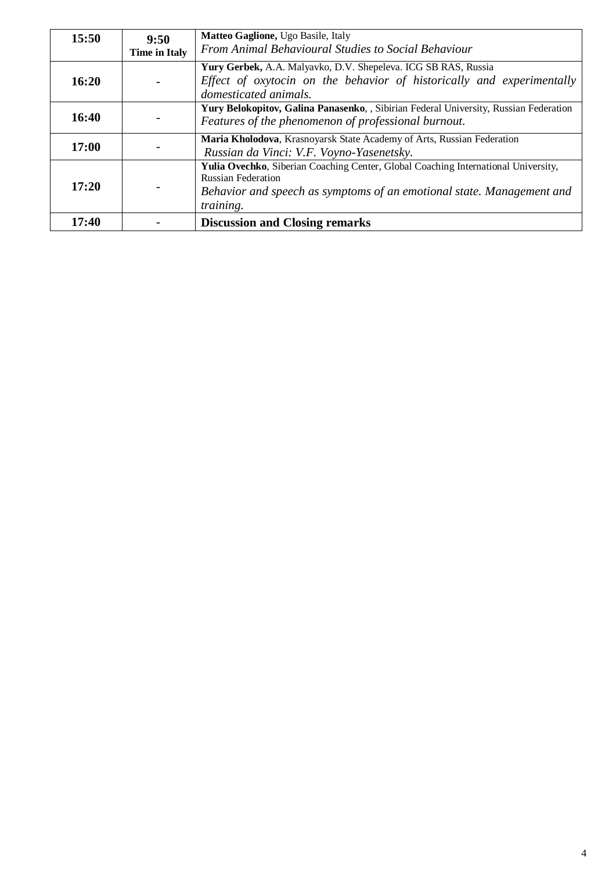| 15:50 | 9:50                 | Matteo Gaglione, Ugo Basile, Italy                                                                                                                                                                           |
|-------|----------------------|--------------------------------------------------------------------------------------------------------------------------------------------------------------------------------------------------------------|
|       | <b>Time in Italy</b> | From Animal Behavioural Studies to Social Behaviour                                                                                                                                                          |
| 16:20 |                      | Yury Gerbek, A.A. Malyavko, D.V. Shepeleva. ICG SB RAS, Russia<br>Effect of oxytocin on the behavior of historically and experimentally<br>domesticated animals.                                             |
| 16:40 |                      | Yury Belokopitov, Galina Panasenko, , Sibirian Federal University, Russian Federation<br>Features of the phenomenon of professional burnout.                                                                 |
| 17:00 |                      | Maria Kholodova, Krasnoyarsk State Academy of Arts, Russian Federation<br>Russian da Vinci: V.F. Voyno-Yasenetsky.                                                                                           |
| 17:20 |                      | Yulia Ovechko, Siberian Coaching Center, Global Coaching International University,<br><b>Russian Federation</b><br>Behavior and speech as symptoms of an emotional state. Management and<br><i>training.</i> |
| 17:40 |                      | <b>Discussion and Closing remarks</b>                                                                                                                                                                        |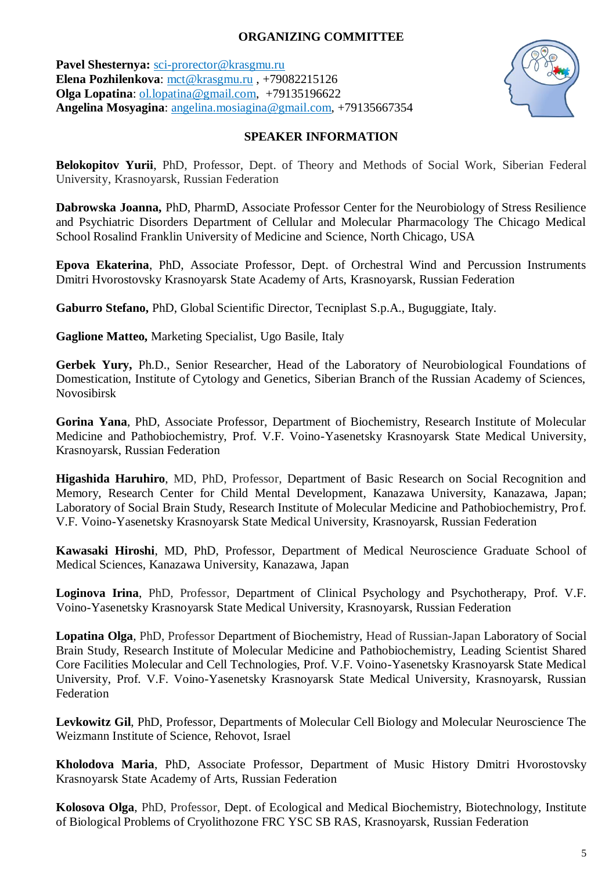#### **ORGANIZING COMMITTEE**

**Pavel Shesternya:** [sci-prorector@krasgmu.ru](mailto:sci-prorector@krasgmu.ru) **Elena Pozhilenkova**: [mct@krasgmu.ru](mailto:mct@krasgmu.ru) , +79082215126 **Olga Lopatina**: [ol.lopatina@gmail.com,](mailto:ol.lopatina@gmail.com) +79135196622 **Angelina Mosyagina**: [angelina.mosiagina@gmail.com,](mailto:angelina.mosiagina@gmail.com) +79135667354



#### **SPEAKER INFORMATION**

**Belokopitov Yurii**, PhD, Professor, Dept. of Theory and Methods of Social Work, Siberian Federal University, Krasnoyarsk, Russian Federation

**Dabrowska Joanna,** PhD, PharmD, Associate Professor Center for the Neurobiology of Stress Resilience and Psychiatric Disorders Department of Cellular and Molecular Pharmacology The Chicago Medical School Rosalind Franklin University of Medicine and Science, North Chicago, USA

**Epova Ekaterina**, PhD, Associate Professor, Dept. of Orchestral Wind and Percussion Instruments Dmitri Hvorostovsky Krasnoyarsk State Academy of Arts, Krasnoyarsk, Russian Federation

**Gaburro Stefano,** PhD, Global Scientific Director, Tecniplast S.p.A., Buguggiate, Italy.

**Gaglione Matteo,** Marketing Specialist, Ugo Basile, Italy

**Gerbek Yury,** Ph.D., Senior Researcher, Head of the Laboratory of Neurobiological Foundations of Domestication, Institute of Cytology and Genetics, Siberian Branch of the Russian Academy of Sciences, Novosibirsk

**Gorina Yana**, PhD, Associate Professor, Department of Biochemistry, Research Institute of Molecular Medicine and Pathobiochemistry, Prof. V.F. Voino-Yasenetsky Krasnoyarsk State Medical University, Krasnoyarsk, Russian Federation

**Higashida Haruhiro**, MD, PhD, Professor, Department of Basic Research on Social Recognition and Memory, Research Center for Child Mental Development, Kanazawa University, Kanazawa, Japan; Laboratory of Social Brain Study, Research Institute of Molecular Medicine and Pathobiochemistry, Prof. V.F. Voino-Yasenetsky Krasnoyarsk State Medical University, Krasnoyarsk, Russian Federation

**Kawasaki Hiroshi**, MD, PhD, Professor, Department of Medical Neuroscience Graduate School of Medical Sciences, Kanazawa University, Kanazawa, Japan

**Loginova Irina**, PhD, Professor, Department of Clinical Psychology and Psychotherapy, Prof. V.F. Voino-Yasenetsky Krasnoyarsk State Medical University, Krasnoyarsk, Russian Federation

**Lopatina Olga**, PhD, Professor Department of Biochemistry, Head of Russian-Japan Laboratory of Social Brain Study, Research Institute of Molecular Medicine and Pathobiochemistry, Leading Scientist Shared Core Facilities Molecular and Cell Technologies, Prof. V.F. Voino-Yasenetsky Krasnoyarsk State Medical University, Prof. V.F. Voino-Yasenetsky Krasnoyarsk State Medical University, Krasnoyarsk, Russian Federation

**Levkowitz Gil**, PhD, Professor, Departments of Molecular Cell Biology and Molecular Neuroscience The Weizmann Institute of Science, Rehovot, Israel

**Kholodova Maria**, PhD, Associate Professor, Department of Music History Dmitri Hvorostovsky Krasnoyarsk State Academy of Arts, Russian Federation

**Kolosova Olga**, PhD, Professor, Dept. of Ecological and Medical Biochemistry, Biotechnology, Institute of Biological Problems of Cryolithozone FRC YSC SB RAS, Krasnoyarsk, Russian Federation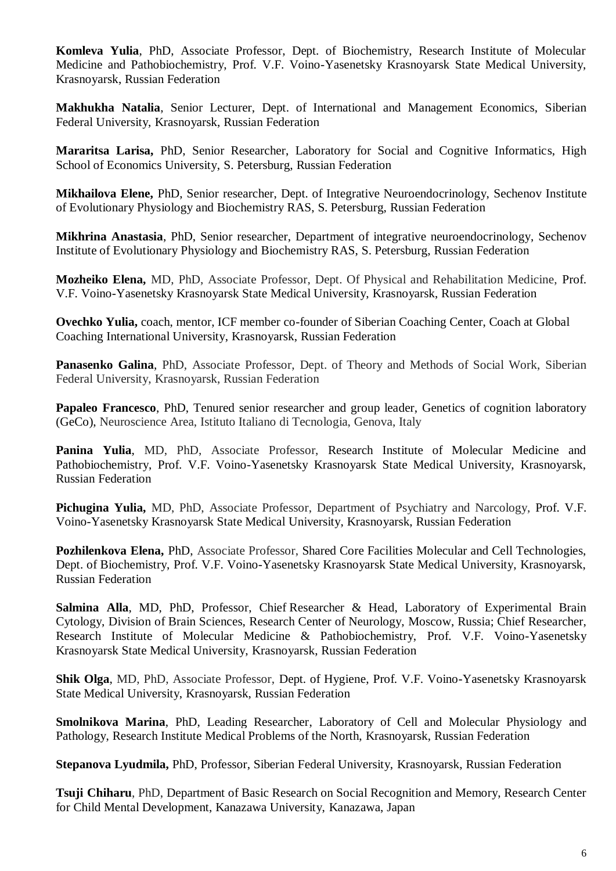**Komleva Yulia**, PhD, Associate Professor, Dept. of Biochemistry, Research Institute of Molecular Medicine and Pathobiochemistry, Prof. V.F. Voino-Yasenetsky Krasnoyarsk State Medical University, Krasnoyarsk, Russian Federation

**Makhukha Natalia**, Senior Lecturer, Dept. of International and Management Economics, Siberian Federal University, Krasnoyarsk, Russian Federation

**Mararitsa Larisa,** PhD, Senior Researcher, Laboratory for Social and Cognitive Informatics, High School of Economics University, S. Petersburg, Russian Federation

**Mikhailova Elene,** PhD, Senior researcher, Dept. of Integrative Neuroendocrinology, Sechenov Institute of Evolutionary Physiology and Biochemistry RAS, S. Petersburg, Russian Federation

**Mikhrina Anastasia**, PhD, Senior researcher, Department of integrative neuroendocrinology, Sechenov Institute of Evolutionary Physiology and Biochemistry RAS, S. Petersburg, Russian Federation

**Mozheiko Elena,** MD, PhD, Associate Professor, Dept. Of Physical and Rehabilitation Medicine, Prof. V.F. Voino-Yasenetsky Krasnoyarsk State Medical University, Krasnoyarsk, Russian Federation

**Ovechko Yulia,** coach, mentor, ICF member co-founder of Siberian Coaching Center, Coach at Global Coaching International University, Krasnoyarsk, Russian Federation

**Panasenko Galina**, PhD, Associate Professor, Dept. of Theory and Methods of Social Work, Siberian Federal University, Krasnoyarsk, Russian Federation

**Papaleo Francesco**, PhD, Tenured senior researcher and group leader, Genetics of cognition laboratory (GeCo), Neuroscience Area, Istituto Italiano di Tecnologia, Genova, Italy

**Panina Yulia**, MD, PhD, Associate Professor, Research Institute of Molecular Medicine and Pathobiochemistry, Prof. V.F. Voino-Yasenetsky Krasnoyarsk State Medical University, Krasnoyarsk, Russian Federation

**Pichugina Yulia,** MD, PhD, Associate Professor, Department of Psychiatry and Narcology, Prof. V.F. Voino-Yasenetsky Krasnoyarsk State Medical University, Krasnoyarsk, Russian Federation

**Pozhilenkova Elena,** PhD, Associate Professor, Shared Core Facilities Molecular and Cell Technologies, Dept. of Biochemistry, Prof. V.F. Voino-Yasenetsky Krasnoyarsk State Medical University, Krasnoyarsk, Russian Federation

**Salmina Alla**, MD, PhD, Professor, Chief Researcher & Head, Laboratory of Experimental Brain Cytology, Division of Brain Sciences, Research Center of Neurology, Moscow, Russia; Chief Researcher, Research Institute of Molecular Medicine & Pathobiochemistry, Prof. V.F. Voino-Yasenetsky Krasnoyarsk State Medical University, Krasnoyarsk, Russian Federation

**Shik Olga**, MD, PhD, Associate Professor, Dept. of Hygiene, Prof. V.F. Voino-Yasenetsky Krasnoyarsk State Medical University, Krasnoyarsk, Russian Federation

**Smolnikova Marina**, PhD, Leading Researcher, Laboratory of Cell and Molecular Physiology and Pathology, Research Institute Medical Problems of the North, Krasnoyarsk, Russian Federation

**Stepanova Lyudmila,** PhD, Professor, Siberian Federal University, Krasnoyarsk, Russian Federation

**Tsuji Chiharu**, PhD, Department of Basic Research on Social Recognition and Memory, Research Center for Child Mental Development, Kanazawa University, Kanazawa, Japan